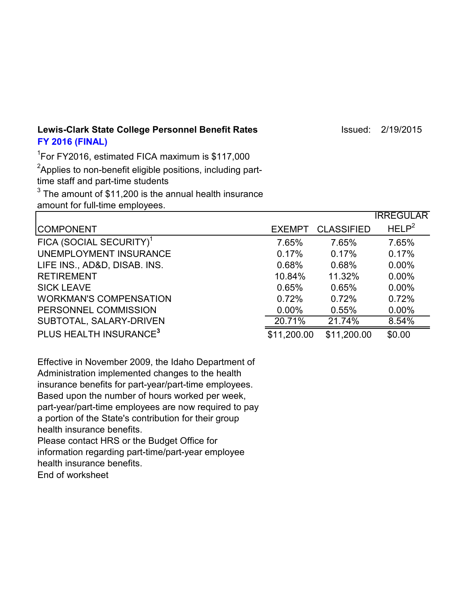Lewis-Clark State College Personnel Benefit Rates **Internative College Act 2/19/2015 FY 2016 (FINAL)**

1 For FY2016, estimated FICA maximum is \$117,000  $^2$ Applies to non-benefit eligible positions, including parttime staff and part-time students  $^3$  The amount of \$11,200 is the annual health insurance amount for full-time employees.

|                                     |               |                   | <b>IRREGULAR</b>  |
|-------------------------------------|---------------|-------------------|-------------------|
| <b>COMPONENT</b>                    | <b>EXEMPT</b> | <b>CLASSIFIED</b> | HELP <sup>2</sup> |
| FICA (SOCIAL SECURITY) <sup>1</sup> | 7.65%         | 7.65%             | 7.65%             |
| UNEMPLOYMENT INSURANCE              | 0.17%         | 0.17%             | 0.17%             |
| LIFE INS., AD&D, DISAB. INS.        | 0.68%         | 0.68%             | $0.00\%$          |
| <b>RETIREMENT</b>                   | 10.84%        | 11.32%            | $0.00\%$          |
| <b>SICK LEAVE</b>                   | 0.65%         | 0.65%             | $0.00\%$          |
| <b>WORKMAN'S COMPENSATION</b>       | 0.72%         | 0.72%             | 0.72%             |
| PERSONNEL COMMISSION                | $0.00\%$      | 0.55%             | $0.00\%$          |
| SUBTOTAL, SALARY-DRIVEN             | 20.71%        | 21.74%            | 8.54%             |
| PLUS HEALTH INSURANCE <sup>3</sup>  | \$11,200.00   | \$11,200.00       | \$0.00            |

Effective in November 2009, the Idaho Department of Administration implemented changes to the health insurance benefits for part-year/part-time employees. Based upon the number of hours worked per week, part-year/part-time employees are now required to pay a portion of the State's contribution for their group health insurance benefits.

Please contact HRS or the Budget Office for information regarding part-time/part-year employee health insurance benefits. End of worksheet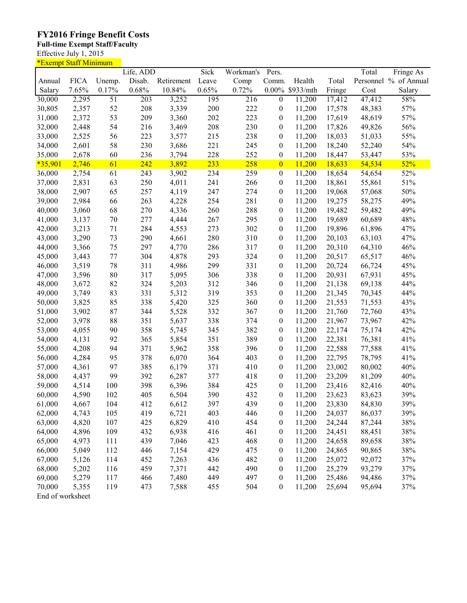## **FY2016 Fringe Benefit Costs**

## **Full-time Exempt Staff/Faculty**

Effective July 1, 2015

| <u>*Exempt Staff Minimum</u> |             |                 |                  |            |       |                  |                  |                 |        |        |                       |
|------------------------------|-------------|-----------------|------------------|------------|-------|------------------|------------------|-----------------|--------|--------|-----------------------|
|                              |             |                 | Life, ADD        |            | Sick  | Workman's        | Pers.            |                 |        | Total  | Fringe As             |
| Annual                       | <b>FICA</b> | Unemp.          | Disab.           | Retirement | Leave | Comp             | Comm.            | Health          | Total  |        | Personnel % of Annual |
| Salary                       | 7.65%       | 0.17%           | 0.68%            | 10.84%     | 0.65% | 0.72%            |                  | 0.00% \$933/mth | Fringe | Cost   | Salary                |
| 30,000                       | 2,295       | $\overline{51}$ | $\overline{203}$ | 3,252      | 195   | $\overline{216}$ | $\overline{0}$   | 11,200          | 17,412 | 47,412 | 58%                   |
| 30,805                       | 2,357       | 52              | 208              | 3,339      | 200   | 222              | $\boldsymbol{0}$ | 11,200          | 17,578 | 48,383 | 57%                   |
| 31,000                       | 2,372       | 53              | 209              | 3,360      | 202   | 223              | 0                | 11,200          | 17,619 | 48,619 | 57%                   |
| 32,000                       | 2,448       | 54              | 216              | 3,469      | 208   | 230              | 0                | 11,200          | 17,826 | 49,826 | 56%                   |
| 33,000                       | 2,525       | 56              | 223              | 3,577      | 215   | 238              | 0                | 11,200          | 18,033 | 51,033 | 55%                   |
| 34,000                       | 2,601       | 58              | 230              | 3,686      | 221   | 245              | 0                | 11,200          | 18,240 | 52,240 | 54%                   |
| 35,000                       | 2,678       | 60              | 236              | 3,794      | 228   | 252              | $\boldsymbol{0}$ | 11,200          | 18,447 | 53,447 | 53%                   |
| $*35,901$                    | 2,746       | 61              | 242              | 3,892      | 233   | 258              | $\overline{0}$   | 11,200          | 18,633 | 54,534 | 52%                   |
| 36,000                       | 2,754       | 61              | 243              | 3,902      | 234   | 259              | $\boldsymbol{0}$ | 11,200          | 18,654 | 54,654 | 52%                   |
| 37,000                       | 2,831       | 63              | 250              | 4,011      | 241   | 266              | $\boldsymbol{0}$ | 11,200          | 18,861 | 55,861 | 51%                   |
|                              |             |                 |                  |            |       |                  |                  |                 |        |        | 50%                   |
| 38,000                       | 2,907       | 65              | 257              | 4,119      | 247   | 274              | $\boldsymbol{0}$ | 11,200          | 19,068 | 57,068 |                       |
| 39,000                       | 2,984       | 66              | 263              | 4,228      | 254   | 281              | $\boldsymbol{0}$ | 11,200          | 19,275 | 58,275 | 49%                   |
| 40,000                       | 3,060       | 68              | 270              | 4,336      | 260   | 288              | $\boldsymbol{0}$ | 11,200          | 19,482 | 59,482 | 49%                   |
| 41,000                       | 3,137       | $70\,$          | 277              | 4,444      | 267   | 295              | $\boldsymbol{0}$ | 11,200          | 19,689 | 60,689 | 48%                   |
| 42,000                       | 3,213       | 71              | 284              | 4,553      | 273   | 302              | $\boldsymbol{0}$ | 11,200          | 19,896 | 61,896 | 47%                   |
| 43,000                       | 3,290       | 73              | 290              | 4,661      | 280   | 310              | $\boldsymbol{0}$ | 11,200          | 20,103 | 63,103 | 47%                   |
| 44,000                       | 3,366       | 75              | 297              | 4,770      | 286   | 317              | $\boldsymbol{0}$ | 11,200          | 20,310 | 64,310 | 46%                   |
| 45,000                       | 3,443       | $77 \,$         | 304              | 4,878      | 293   | 324              | $\boldsymbol{0}$ | 11,200          | 20,517 | 65,517 | 46%                   |
| 46,000                       | 3,519       | 78              | 311              | 4,986      | 299   | 331              | $\boldsymbol{0}$ | 11,200          | 20,724 | 66,724 | 45%                   |
| 47,000                       | 3,596       | $80\,$          | 317              | 5,095      | 306   | 338              | $\boldsymbol{0}$ | 11,200          | 20,931 | 67,931 | 45%                   |
| 48,000                       | 3,672       | 82              | 324              | 5,203      | 312   | 346              | $\boldsymbol{0}$ | 11,200          | 21,138 | 69,138 | 44%                   |
| 49,000                       | 3,749       | 83              | 331              | 5,312      | 319   | 353              | $\boldsymbol{0}$ | 11,200          | 21,345 | 70,345 | 44%                   |
| 50,000                       | 3,825       | 85              | 338              | 5,420      | 325   | 360              | $\boldsymbol{0}$ | 11,200          | 21,553 | 71,553 | 43%                   |
| 51,000                       | 3,902       | 87              | 344              | 5,528      | 332   | 367              | $\boldsymbol{0}$ | 11,200          | 21,760 | 72,760 | 43%                   |
| 52,000                       | 3,978       | 88              | 351              | 5,637      | 338   | 374              | $\boldsymbol{0}$ | 11,200          | 21,967 | 73,967 | 42%                   |
| 53,000                       | 4,055       | 90              | 358              | 5,745      | 345   | 382              | $\boldsymbol{0}$ | 11,200          | 22,174 | 75,174 | 42%                   |
| 54,000                       | 4,131       | 92              | 365              | 5,854      | 351   | 389              | $\boldsymbol{0}$ | 11,200          | 22,381 | 76,381 | 41%                   |
| 55,000                       | 4,208       | 94              | 371              | 5,962      | 358   | 396              | 0                | 11,200          | 22,588 | 77,588 | 41%                   |
| 56,000                       | 4,284       | 95              | 378              | 6,070      | 364   | 403              | 0                | 11,200          | 22,795 | 78,795 | 41%                   |
| 57,000                       | 4,361       | 97              | 385              | 6,179      | 371   | 410              | $\boldsymbol{0}$ | 11,200          | 23,002 | 80,002 | 40%                   |
| 58,000                       | 4,437       | 99              | 392              | 6,287      | 377   | 418              | 0                | 11,200          | 23,209 | 81,209 | 40%                   |
| 59,000                       | 4,514       | 100             | 398              | 6,396      | 384   | 425              | $\boldsymbol{0}$ | 11,200          | 23,416 | 82,416 | 40%                   |
|                              |             |                 |                  |            |       |                  |                  |                 |        |        |                       |
| 60,000                       | 4,590       | 102             | 405              | 6,504      | 390   | 432              | $\boldsymbol{0}$ | 11,200          | 23,623 | 83,623 | 39%                   |
| 61,000                       | 4,667       | 104             | 412              | 6,612      | 397   | 439              | 0                | 11,200          | 23,830 | 84,830 | 39%                   |
| 62,000                       | 4,743       | 105             | 419              | 6,721      | 403   | 446              | 0                | 11,200          | 24,037 | 86,037 | 39%                   |
| 63,000                       | 4,820       | 107             | 425              | 6,829      | 410   | 454              | $\boldsymbol{0}$ | 11,200          | 24,244 | 87,244 | 38%                   |
| 64,000                       | 4,896       | 109             | 432              | 6,938      | 416   | 461              | $\boldsymbol{0}$ | 11,200          | 24,451 | 88,451 | 38%                   |
| 65,000                       | 4,973       | 111             | 439              | 7,046      | 423   | 468              | $\boldsymbol{0}$ | 11,200          | 24,658 | 89,658 | 38%                   |
| 66,000                       | 5,049       | 112             | 446              | 7,154      | 429   | 475              | $\boldsymbol{0}$ | 11,200          | 24,865 | 90,865 | 38%                   |
| 67,000                       | 5,126       | 114             | 452              | 7,263      | 436   | 482              | $\boldsymbol{0}$ | 11,200          | 25,072 | 92,072 | 37%                   |
| 68,000                       | 5,202       | 116             | 459              | 7,371      | 442   | 490              | $\boldsymbol{0}$ | 11,200          | 25,279 | 93,279 | 37%                   |
| 69,000                       | 5,279       | 117             | 466              | 7,480      | 449   | 497              | $\boldsymbol{0}$ | 11,200          | 25,486 | 94,486 | 37%                   |
| 70,000                       | 5,355       | 119             | 473              | 7,588      | 455   | 504              | $\boldsymbol{0}$ | 11,200          | 25,694 | 95,694 | 37%                   |
| End of worksheet             |             |                 |                  |            |       |                  |                  |                 |        |        |                       |